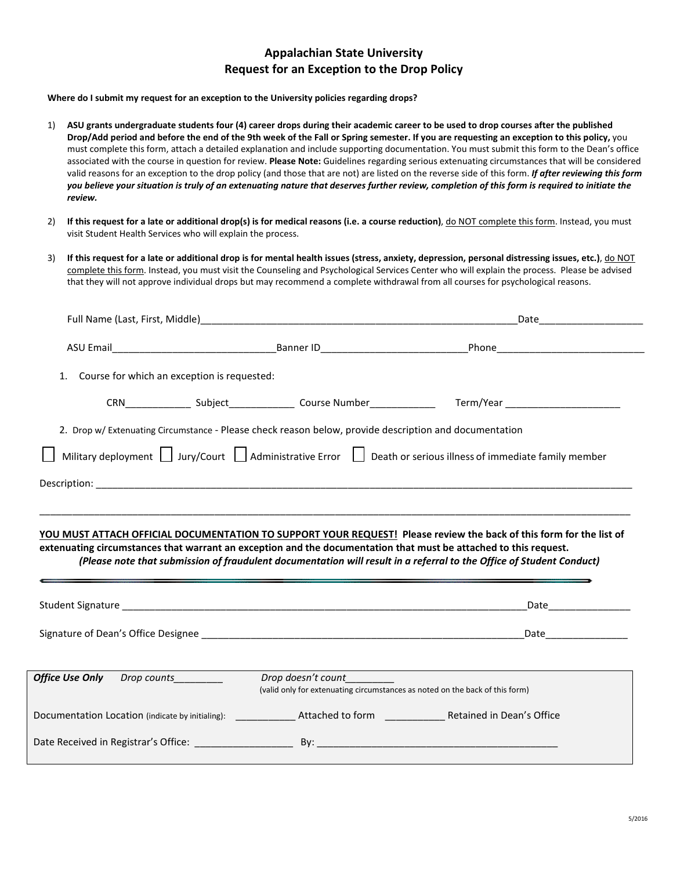# **Appalachian State University Request for an Exception to the Drop Policy**

**Where do I submit my request for an exception to the University policies regarding drops?**

- 1) **ASU grants undergraduate students four (4) career drops during their academic career to be used to drop courses after the published Drop/Add period and before the end of the 9th week of the Fall or Spring semester. If you are requesting an exception to this policy,** you must complete this form, attach a detailed explanation and include supporting documentation. You must submit this form to the Dean's office associated with the course in question for review. **Please Note:** Guidelines regarding serious extenuating circumstances that will be considered valid reasons for an exception to the drop policy (and those that are not) are listed on the reverse side of this form. *If after reviewing this form you believe your situation is truly of an extenuating nature that deserves further review, completion of this form is required to initiate the review.*
- 2) If this request for a late or additional drop(s) is for medical reasons (i.e. a course reduction), do NOT complete this form. Instead, you must visit Student Health Services who will explain the process.
- 3) **If this request for a late or additional drop is for mental health issues (stress, anxiety, depression, personal distressing issues, etc.)**, do NOT complete this form. Instead, you must visit the Counseling and Psychological Services Center who will explain the process. Please be advised that they will not approve individual drops but may recommend a complete withdrawal from all courses for psychological reasons.

| 1.                                 | Course for which an exception is requested: |                                                                                                                                                                                                                                         |
|------------------------------------|---------------------------------------------|-----------------------------------------------------------------------------------------------------------------------------------------------------------------------------------------------------------------------------------------|
|                                    |                                             |                                                                                                                                                                                                                                         |
|                                    |                                             | 2. Drop w/ Extenuating Circumstance - Please check reason below, provide description and documentation                                                                                                                                  |
|                                    |                                             | Military deployment $\Box$ Jury/Court $\Box$ Administrative Error $\Box$ Death or serious illness of immediate family member                                                                                                            |
|                                    |                                             |                                                                                                                                                                                                                                         |
|                                    |                                             | YOU MUST ATTACH OFFICIAL DOCUMENTATION TO SUPPORT YOUR REQUEST! Please review the back of this form for the list of<br>extenuating circumstances that warrant an exception and the documentation that must be attached to this request. |
|                                    |                                             | (Please note that submission of fraudulent documentation will result in a referral to the Office of Student Conduct)                                                                                                                    |
|                                    |                                             | Date and the state of the state of the state of the state of the state of the state of the state of the state                                                                                                                           |
|                                    |                                             |                                                                                                                                                                                                                                         |
| <b>Office Use Only</b> Drop counts |                                             | Drop doesn't count<br>(valid only for extenuating circumstances as noted on the back of this form)                                                                                                                                      |
|                                    |                                             | Documentation Location (indicate by initialing): _______________ Attached to form _______________ Retained in Dean's Office                                                                                                             |